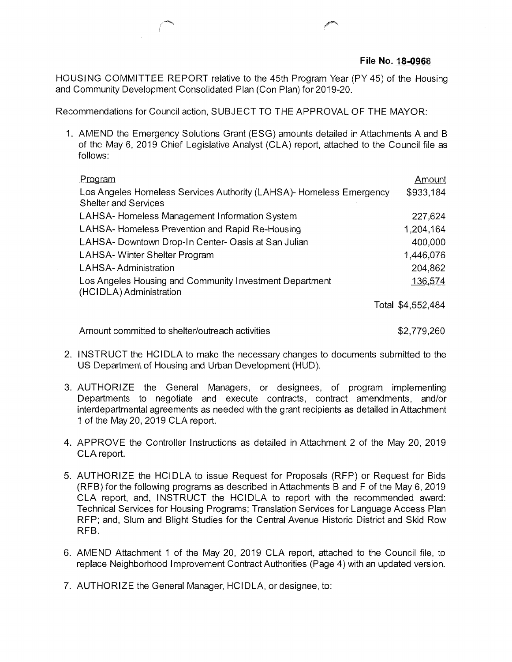HOUSING COMMITTEE REPORT relative to the 45th Program Year (PY45) of the Housing and Community Development Consolidated Plan (Con Plan) for 2019-20.

Recommendations for Council action, SUBJECT TO THE APPROVAL OF THE MAYOR:

1. AMEND the Emergency Solutions Grant (ESG) amounts detailed in Attachments A and B of the May 6, 2019 Chief Legislative Analyst (CLA) report, attached to the Council file as follows:

| Program                                                                            | Amount            |
|------------------------------------------------------------------------------------|-------------------|
| Los Angeles Homeless Services Authority (LAHSA)- Homeless Emergency                | \$933,184         |
| <b>Shelter and Services</b>                                                        |                   |
| LAHSA-Homeless Management Information System                                       | 227,624           |
| LAHSA-Homeless Prevention and Rapid Re-Housing                                     | 1,204,164         |
| LAHSA- Downtown Drop-In Center- Oasis at San Julian                                | 400,000           |
| LAHSA-Winter Shelter Program                                                       | 1,446,076         |
| LAHSA-Administration                                                               | 204,862           |
| Los Angeles Housing and Community Investment Department<br>(HCIDLA) Administration | 136,574           |
|                                                                                    | Total \$4,552,484 |
|                                                                                    |                   |

Amount committed to shelter/outreach activities  $$2,779,260$ 

- 2. INSTRUCT the HCIDLA to make the necessary changes to documents submitted to the US Department of Housing and Urban Development (HUD).
- AUTHORIZE the General Managers, or designees, of program implementing 3. Departments to negotiate and execute contracts, contract amendments, and/or interdepartmental agreements as needed with the grant recipients as detailed in Attachment <sup>1</sup> of the May 20, 2019 CLA report.
- APPROVE the Controller Instructions as detailed in Attachment 2 of the May 20, 2019 4. CLA report.
- AUTHORIZE the HCIDLA to issue Request for Proposals (RFP) or Request for Bids 5. (RFB) for the following programs as described in Attachments B and F of the May 6, 2019 CLA report, and, INSTRUCT the HCIDLA to report with the recommended award: Technical Services for Housing Programs; Translation Services for Language Access Plan RFP; and, Slum and Blight Studies for the Central Avenue Historic District and Skid Row RFB.
- AMEND Attachment <sup>1</sup> of the May 20, 2019 CLA report, attached to the Council file, to 6**.** replace Neighborhood Improvement Contract Authorities (Page 4) with an updated version.
- 7. AUTHORIZE the General Manager, HCIDLA, or designee, to: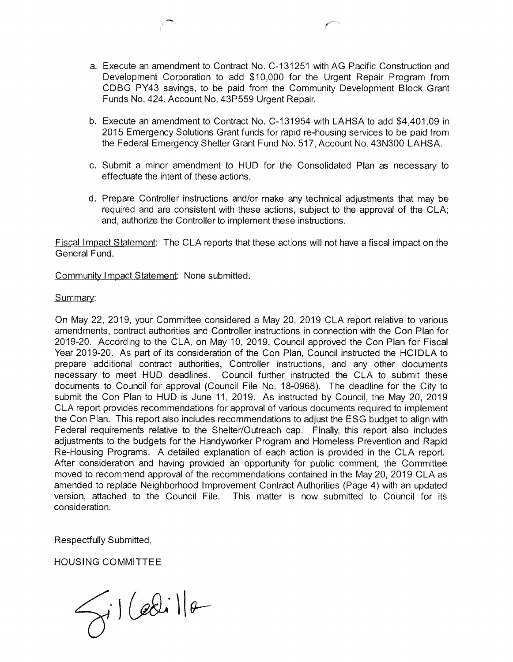- Execute an amendment to Contract No. C-131251 with AG Pacific Construction and a. Development Corporation to add \$10,000 for the Urgent Repair Program from CDBG PY43 savings, to be paid from the Community Development Block Grant Funds No. 424, Account No. 43P559 Urgent Repair.
- Execute an amendment to Contract No. C-131954 with LAHSA to add \$4,401.09 in b. 2015 Emergency Solutions Grant funds for rapid re-housing services to be paid from the Federal Emergency Shelter Grant Fund No. 517, Account No. 43N300 LAHSA.
- c. Submit a minor amendment to HUD for the Consolidated Plan as necessary to effectuate the intent of these actions.
- d. Prepare Controller instructions and/or make any technical adjustments that may be required and are consistent with these actions, subject to the approval of the CLA; and, authorize the Controller to implement these instructions.

Fiscal Impact Statement: The CLA reports that these actions will not have a fiscal impact on the General Fund.

Community Impact Statement: None submitted.

## Summary:

On May 22, 2019, your Committee considered a May 20, 2019 CLA report relative to various amendments, contract authorities and Controller instructions in connection with the Con Plan for 2019-20. According to the CLA, on May 10, 2019, Council approved the Con Plan for Fiscal Year 2019-20. As part of its consideration of the Con Plan, Council instructed the HCIDLA to prepare additional contract authorities, Controller instructions, and any other documents necessary to meet HUD deadlines. Council further instructed the CLA to submit these documents to Council for approval (Council File No. 18-0968). The deadline for the City to submit the Con Plan to HUD is June 11, 2019. As instructed by Council, the May 20, 2019 CLA report provides recommendations for approval of various documents required to implement the Con Plan. This report also includes recommendations to adjust the ESG budget to align with Federal requirements relative to the Shelter/Outreach cap. Finally, this report also includes adjustments to the budgets for the Handyworker Program and Homeless Prevention and Rapid Re-Housing Programs. A detailed explanation of each action is provided in the CLA report. After consideration and having provided an opportunity for public comment, the Committee moved to recommend approval of the recommendations contained in the May 20, 2019 CLA as amended to replace Neighborhood Improvement Contract Authorities (Page 4) with an updated version, attached to the Council File. This matter is now submitted to Council for its consideration.

Respectfully Submitted

HOUSING COMMITTEE

 $\gamma$ il Celilla